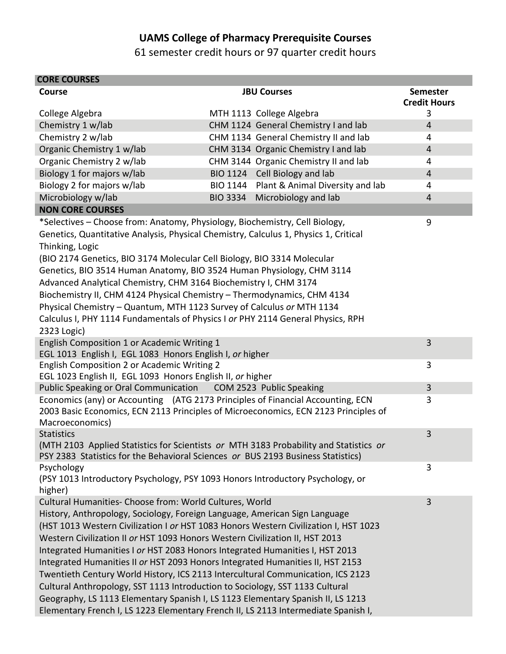## **UAMS College of Pharmacy Prerequisite Courses**

61 semester credit hours or 97 quarter credit hours

| <b>CORE COURSES</b>                                                                                                                                                                                                                                                                                                                                                                                                                                                                                                                                                                                                                                                                                                                                                                                                         |  |                                           |                                        |
|-----------------------------------------------------------------------------------------------------------------------------------------------------------------------------------------------------------------------------------------------------------------------------------------------------------------------------------------------------------------------------------------------------------------------------------------------------------------------------------------------------------------------------------------------------------------------------------------------------------------------------------------------------------------------------------------------------------------------------------------------------------------------------------------------------------------------------|--|-------------------------------------------|----------------------------------------|
| <b>Course</b>                                                                                                                                                                                                                                                                                                                                                                                                                                                                                                                                                                                                                                                                                                                                                                                                               |  | <b>JBU Courses</b>                        | <b>Semester</b><br><b>Credit Hours</b> |
| College Algebra                                                                                                                                                                                                                                                                                                                                                                                                                                                                                                                                                                                                                                                                                                                                                                                                             |  | MTH 1113 College Algebra                  | 3                                      |
| Chemistry 1 w/lab                                                                                                                                                                                                                                                                                                                                                                                                                                                                                                                                                                                                                                                                                                                                                                                                           |  | CHM 1124 General Chemistry I and lab      | $\overline{4}$                         |
| Chemistry 2 w/lab                                                                                                                                                                                                                                                                                                                                                                                                                                                                                                                                                                                                                                                                                                                                                                                                           |  | CHM 1134 General Chemistry II and lab     | 4                                      |
| Organic Chemistry 1 w/lab                                                                                                                                                                                                                                                                                                                                                                                                                                                                                                                                                                                                                                                                                                                                                                                                   |  | CHM 3134 Organic Chemistry I and lab      | $\overline{4}$                         |
| Organic Chemistry 2 w/lab                                                                                                                                                                                                                                                                                                                                                                                                                                                                                                                                                                                                                                                                                                                                                                                                   |  | CHM 3144 Organic Chemistry II and lab     | 4                                      |
| Biology 1 for majors w/lab                                                                                                                                                                                                                                                                                                                                                                                                                                                                                                                                                                                                                                                                                                                                                                                                  |  | BIO 1124 Cell Biology and lab             | $\overline{4}$                         |
| Biology 2 for majors w/lab                                                                                                                                                                                                                                                                                                                                                                                                                                                                                                                                                                                                                                                                                                                                                                                                  |  | BIO 1144 Plant & Animal Diversity and lab | 4                                      |
| Microbiology w/lab                                                                                                                                                                                                                                                                                                                                                                                                                                                                                                                                                                                                                                                                                                                                                                                                          |  | BIO 3334 Microbiology and lab             | $\overline{4}$                         |
| <b>NON CORE COURSES</b>                                                                                                                                                                                                                                                                                                                                                                                                                                                                                                                                                                                                                                                                                                                                                                                                     |  |                                           |                                        |
| 9<br>*Selectives - Choose from: Anatomy, Physiology, Biochemistry, Cell Biology,<br>Genetics, Quantitative Analysis, Physical Chemistry, Calculus 1, Physics 1, Critical<br>Thinking, Logic<br>(BIO 2174 Genetics, BIO 3174 Molecular Cell Biology, BIO 3314 Molecular<br>Genetics, BIO 3514 Human Anatomy, BIO 3524 Human Physiology, CHM 3114<br>Advanced Analytical Chemistry, CHM 3164 Biochemistry I, CHM 3174<br>Biochemistry II, CHM 4124 Physical Chemistry - Thermodynamics, CHM 4134<br>Physical Chemistry - Quantum, MTH 1123 Survey of Calculus or MTH 1134<br>Calculus I, PHY 1114 Fundamentals of Physics I or PHY 2114 General Physics, RPH<br>2323 Logic)                                                                                                                                                   |  |                                           |                                        |
| English Composition 1 or Academic Writing 1<br>EGL 1013 English I, EGL 1083 Honors English I, or higher                                                                                                                                                                                                                                                                                                                                                                                                                                                                                                                                                                                                                                                                                                                     |  |                                           | 3                                      |
| English Composition 2 or Academic Writing 2<br>EGL 1023 English II, EGL 1093 Honors English II, or higher                                                                                                                                                                                                                                                                                                                                                                                                                                                                                                                                                                                                                                                                                                                   |  |                                           | 3                                      |
| Public Speaking or Oral Communication  COM 2523 Public Speaking                                                                                                                                                                                                                                                                                                                                                                                                                                                                                                                                                                                                                                                                                                                                                             |  |                                           | $\overline{3}$                         |
| Economics (any) or Accounting (ATG 2173 Principles of Financial Accounting, ECN<br>2003 Basic Economics, ECN 2113 Principles of Microeconomics, ECN 2123 Principles of<br>Macroeconomics)                                                                                                                                                                                                                                                                                                                                                                                                                                                                                                                                                                                                                                   |  |                                           | 3                                      |
| <b>Statistics</b><br>(MTH 2103 Applied Statistics for Scientists or MTH 3183 Probability and Statistics or<br>PSY 2383 Statistics for the Behavioral Sciences or BUS 2193 Business Statistics)                                                                                                                                                                                                                                                                                                                                                                                                                                                                                                                                                                                                                              |  |                                           | 3                                      |
| Psychology<br>(PSY 1013 Introductory Psychology, PSY 1093 Honors Introductory Psychology, or<br>higher)                                                                                                                                                                                                                                                                                                                                                                                                                                                                                                                                                                                                                                                                                                                     |  |                                           | 3                                      |
| Cultural Humanities- Choose from: World Cultures, World<br>History, Anthropology, Sociology, Foreign Language, American Sign Language<br>(HST 1013 Western Civilization I or HST 1083 Honors Western Civilization I, HST 1023<br>Western Civilization II or HST 1093 Honors Western Civilization II, HST 2013<br>Integrated Humanities I or HST 2083 Honors Integrated Humanities I, HST 2013<br>Integrated Humanities II or HST 2093 Honors Integrated Humanities II, HST 2153<br>Twentieth Century World History, ICS 2113 Intercultural Communication, ICS 2123<br>Cultural Anthropology, SST 1113 Introduction to Sociology, SST 1133 Cultural<br>Geography, LS 1113 Elementary Spanish I, LS 1123 Elementary Spanish II, LS 1213<br>Elementary French I, LS 1223 Elementary French II, LS 2113 Intermediate Spanish I, |  |                                           | 3                                      |